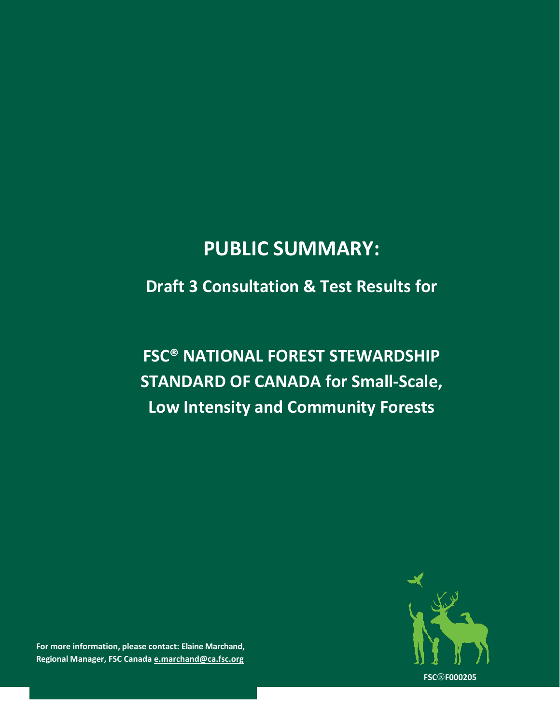# **PUBLIC SUMMARY:**

### **Draft 3 Consultation & Test Results for**

# **FSC® NATIONAL FOREST STEWARDSHIP STANDARD OF CANADA for Small-Scale, Low Intensity and Community Forests**



**For more information, please contact: Elaine Marchand, Regional Manager, [FSC Canada](mailto:info@ca.fsc.org) [e.marchand@ca.fsc.org](mailto:e.marchand@ca.fsc.org)**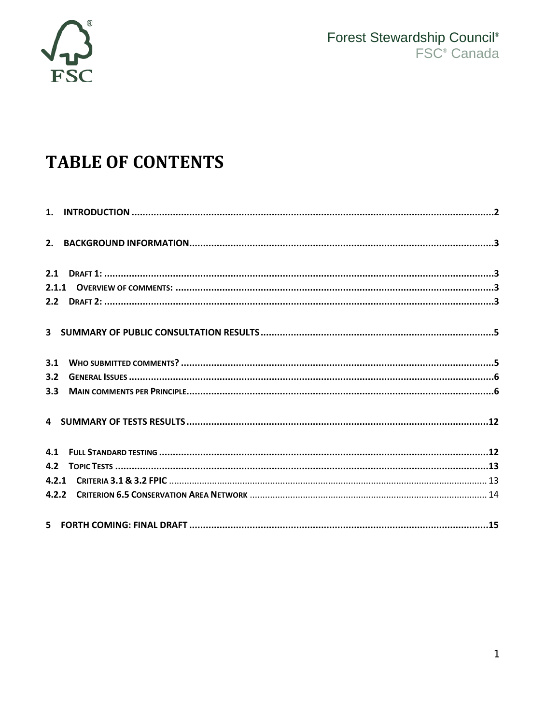

# **TABLE OF CONTENTS**

| 3.1                                                                                                           |  |
|---------------------------------------------------------------------------------------------------------------|--|
| 3.2                                                                                                           |  |
|                                                                                                               |  |
|                                                                                                               |  |
|                                                                                                               |  |
|                                                                                                               |  |
|                                                                                                               |  |
|                                                                                                               |  |
| 5 FORTH COMING: FINAL DRAFT 5 15 THE RESEARCH OF THE RESEARCH OF THE RESEARCH OF THE RESEARCH OF THE RESEARCH |  |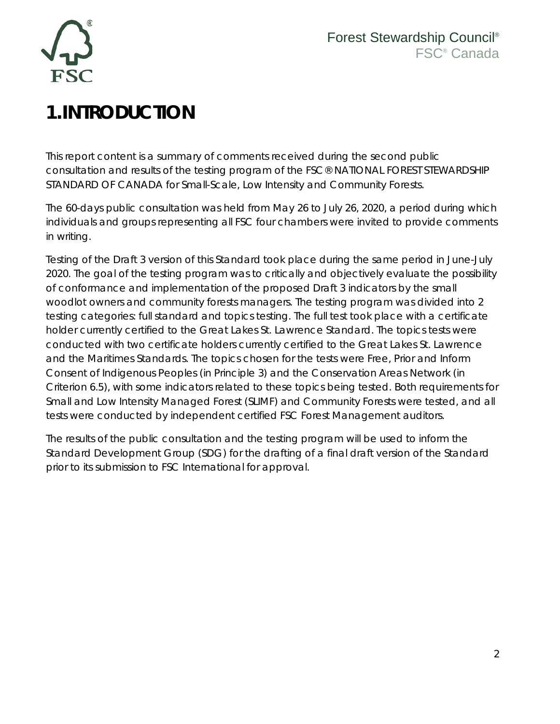

# <span id="page-2-0"></span>**1.INTRODUCTION**

This report content is a summary of comments received during the second public consultation and results of the testing program of the FSC® NATIONAL FOREST STEWARDSHIP STANDARD OF CANADA for Small-Scale, Low Intensity and Community Forests.

The 60-days public consultation was held from May 26 to July 26, 2020, a period during which individuals and groups representing all FSC four chambers were invited to provide comments in writing.

Testing of the Draft 3 version of this Standard took place during the same period in June-July 2020. The goal of the testing program was to critically and objectively evaluate the possibility of conformance and implementation of the proposed Draft 3 indicators by the small woodlot owners and community forests managers. The testing program was divided into 2 testing categories: full standard and topics testing. The full test took place with a certificate holder currently certified to the Great Lakes St. Lawrence Standard. The topics tests were conducted with two certificate holders currently certified to the Great Lakes St. Lawrence and the Maritimes Standards. The topics chosen for the tests were Free, Prior and Inform Consent of Indigenous Peoples (in Principle 3) and the Conservation Areas Network (in Criterion 6.5), with some indicators related to these topics being tested. Both requirements for Small and Low Intensity Managed Forest (SLIMF) and Community Forests were tested, and all tests were conducted by independent certified FSC Forest Management auditors.

The results of the public consultation and the testing program will be used to inform the Standard Development Group (SDG) for the drafting of a final draft version of the Standard prior to its submission to FSC International for approval.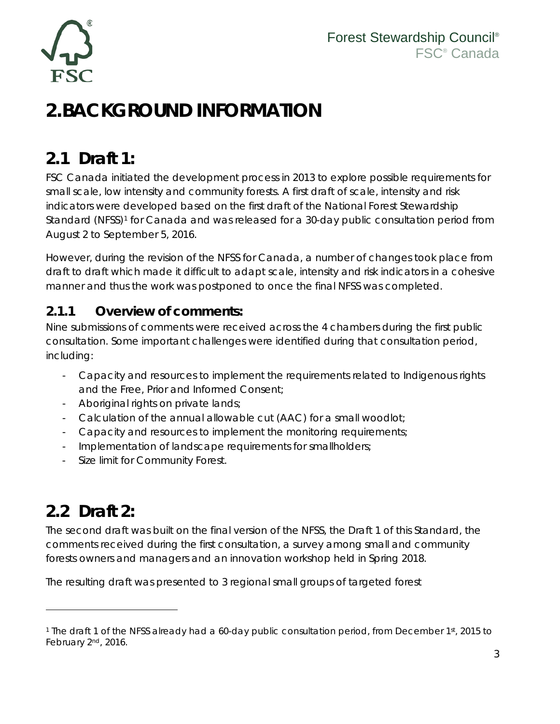

# <span id="page-3-0"></span>**2.BACKGROUND INFORMATION**

### <span id="page-3-1"></span>**2.1 Draft 1:**

FSC Canada initiated the development process in 2013 to explore possible requirements for small scale, low intensity and community forests. A first draft of scale, intensity and risk indicators were developed based on the first draft of the National Forest Stewardship Standard (NFSS)<sup>1</sup> for Canada and was released for a 30-day public consultation period from August 2 to September 5, 2016.

However, during the revision of the NFSS for Canada, a number of changes took place from draft to draft which made it difficult to adapt scale, intensity and risk indicators in a cohesive manner and thus the work was postponed to once the final NFSS was completed.

### <span id="page-3-2"></span>**2.1.1 Overview of comments:**

Nine submissions of comments were received across the 4 chambers during the first public consultation. Some important challenges were identified during that consultation period, including:

- Capacity and resources to implement the requirements related to Indigenous rights and the Free, Prior and Informed Consent;
- Aboriginal rights on private lands;
- Calculation of the annual allowable cut (AAC) for a small woodlot;
- Capacity and resources to implement the monitoring requirements;
- Implementation of landscape requirements for smallholders;
- Size limit for Community Forest.

## <span id="page-3-3"></span>**2.2 Draft 2:**

The second draft was built on the final version of the NFSS, the Draft 1 of this Standard, the comments received during the first consultation, a survey among small and community forests owners and managers and an innovation workshop held in Spring 2018.

The resulting draft was presented to 3 regional small groups of targeted forest

<span id="page-3-4"></span><sup>&</sup>lt;sup>1</sup> The draft 1 of the NFSS already had a 60-day public consultation period, from December 1st, 2015 to February 2nd, 2016.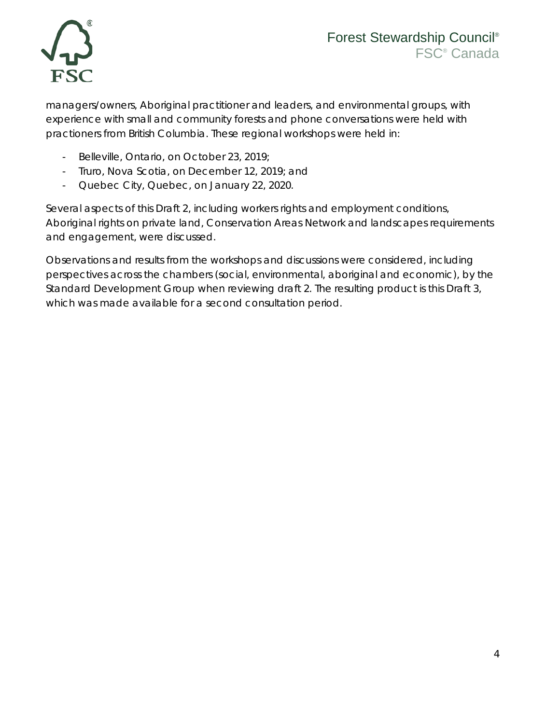

managers/owners, Aboriginal practitioner and leaders, and environmental groups, with experience with small and community forests and phone conversations were held with practioners from British Columbia. These regional workshops were held in:

- Belleville, Ontario, on October 23, 2019;
- Truro, Nova Scotia, on December 12, 2019; and
- Quebec City, Quebec, on January 22, 2020.

Several aspects of this Draft 2, including workers rights and employment conditions, Aboriginal rights on private land, Conservation Areas Network and landscapes requirements and engagement, were discussed.

Observations and results from the workshops and discussions were considered, including perspectives across the chambers (social, environmental, aboriginal and economic), by the Standard Development Group when reviewing draft 2. The resulting product is this Draft 3, which was made available for a second consultation period.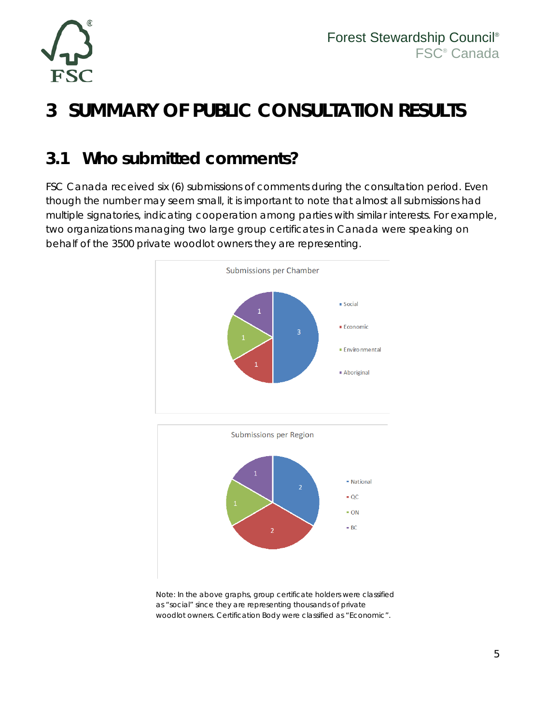

# <span id="page-5-0"></span>**3 SUMMARY OF PUBLIC CONSULTATION RESULTS**

### <span id="page-5-1"></span>**3.1 Who submitted comments?**

FSC Canada received six (6) submissions of comments during the consultation period. Even though the number may seem small, it is important to note that almost all submissions had multiple signatories, indicating cooperation among parties with similar interests. For example, two organizations managing two large group certificates in Canada were speaking on behalf of the 3500 private woodlot owners they are representing.





Note: In the above graphs, group certificate holders were classified as "social" since they are representing thousands of private woodlot owners. Certification Body were classified as "Economic".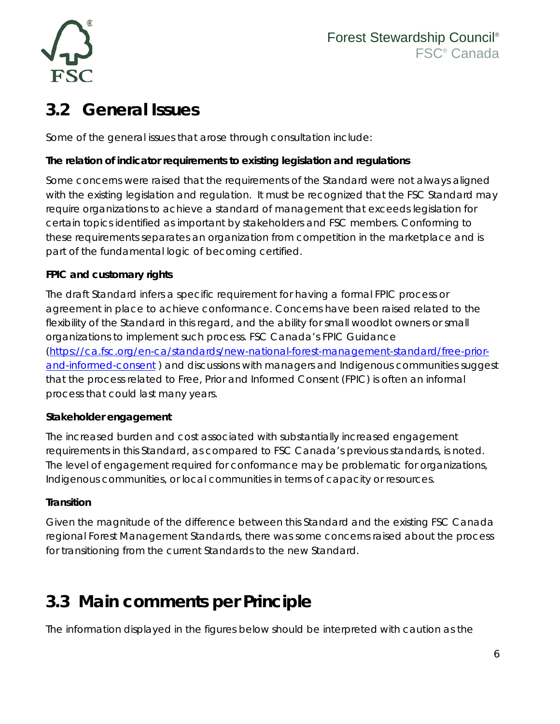

## <span id="page-6-0"></span>**3.2 General Issues**

Some of the general issues that arose through consultation include:

#### **The relation of indicator requirements to existing legislation and regulations**

Some concerns were raised that the requirements of the Standard were not always aligned with the existing legislation and regulation. It must be recognized that the FSC Standard may require organizations to achieve a standard of management that exceeds legislation for certain topics identified as important by stakeholders and FSC members. Conforming to these requirements separates an organization from competition in the marketplace and is part of the fundamental logic of becoming certified.

#### **FPIC and customary rights**

The draft Standard infers a specific requirement for having a formal FPIC process or agreement in place to achieve conformance. Concerns have been raised related to the flexibility of the Standard in this regard, and the ability for small woodlot owners or small organizations to implement such process. FSC Canada's FPIC Guidance [\(https://ca.fsc.org/en-ca/standards/new-national-forest-management-standard/free-prior](https://ca.fsc.org/en-ca/standards/new-national-forest-management-standard/free-prior-and-informed-consent)[and-informed-consent](https://ca.fsc.org/en-ca/standards/new-national-forest-management-standard/free-prior-and-informed-consent) ) and discussions with managers and Indigenous communities suggest that the process related to Free, Prior and Informed Consent (FPIC) is often an informal process that could last many years.

#### **Stakeholder engagement**

The increased burden and cost associated with substantially increased engagement requirements in this Standard, as compared to FSC Canada's previous standards, is noted. The level of engagement required for conformance may be problematic for organizations, Indigenous communities, or local communities in terms of capacity or resources.

#### **Transition**

Given the magnitude of the difference between this Standard and the existing FSC Canada regional Forest Management Standards, there was some concerns raised about the process for transitioning from the current Standards to the new Standard.

## <span id="page-6-1"></span>**3.3 Main comments per Principle**

The information displayed in the figures below should be interpreted with caution as the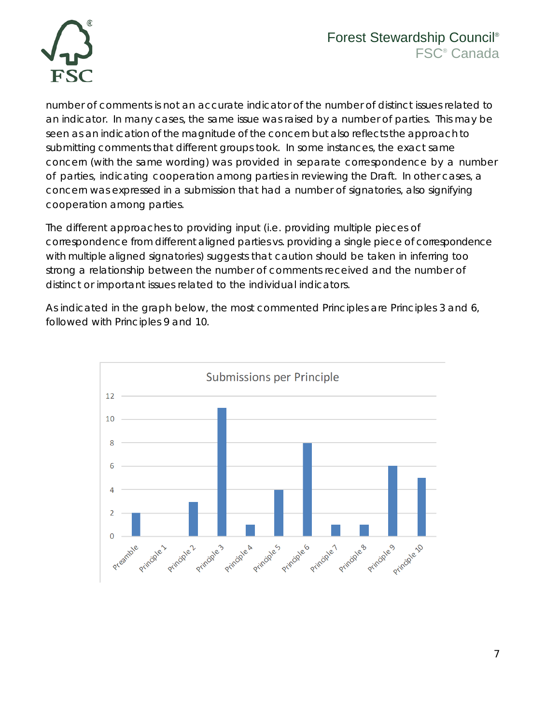

number of comments is not an accurate indicator of the number of distinct issues related to an indicator. In many cases, the same issue was raised by a number of parties. This may be seen as an indication of the magnitude of the concern but also reflects the approach to submitting comments that different groups took. In some instances, the exact same concern (with the same wording) was provided in separate correspondence by a number of parties, indicating cooperation among parties in reviewing the Draft. In other cases, a concern was expressed in a submission that had a number of signatories, also signifying cooperation among parties.

The different approaches to providing input (i.e. providing multiple pieces of correspondence from different aligned parties vs. providing a single piece of correspondence with multiple aligned signatories) suggests that caution should be taken in inferring too strong a relationship between the number of comments received and the number of distinct or important issues related to the individual indicators.

As indicated in the graph below, the most commented Principles are Principles 3 and 6, followed with Principles 9 and 10.

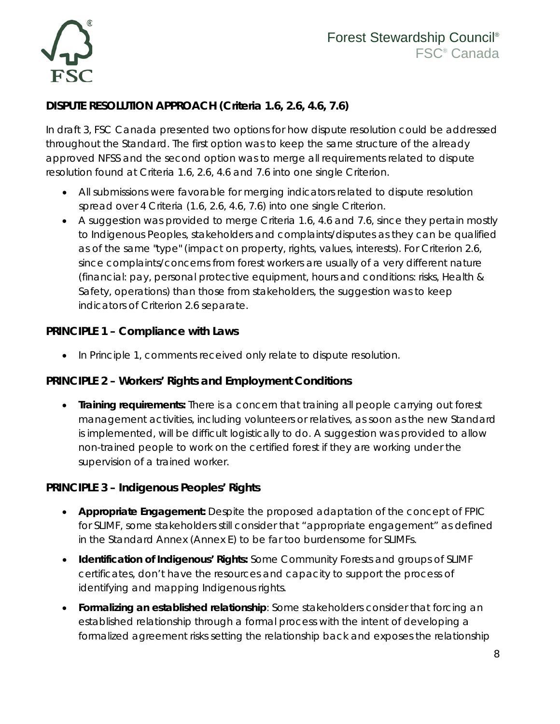

#### **DISPUTE RESOLUTION APPROACH (Criteria 1.6, 2.6, 4.6, 7.6)**

In draft 3, FSC Canada presented two options for how dispute resolution could be addressed throughout the Standard. The first option was to keep the same structure of the already approved NFSS and the second option was to merge all requirements related to dispute resolution found at Criteria 1.6, 2.6, 4.6 and 7.6 into one single Criterion.

- All submissions were favorable for merging indicators related to dispute resolution spread over 4 Criteria (1.6, 2.6, 4.6, 7.6) into one single Criterion.
- A suggestion was provided to merge Criteria 1.6, 4.6 and 7.6, since they pertain mostly to Indigenous Peoples, stakeholders and complaints/disputes as they can be qualified as of the same "type" (impact on property, rights, values, interests). For Criterion 2.6, since complaints/concerns from forest workers are usually of a very different nature (financial: pay, personal protective equipment, hours and conditions: risks, Health & Safety, operations) than those from stakeholders, the suggestion was to keep indicators of Criterion 2.6 separate.

#### **PRINCIPLE 1 – Compliance with Laws**

• In Principle 1, comments received only relate to dispute resolution.

#### **PRINCIPLE 2 – Workers' Rights and Employment Conditions**

• **Training requirements:** There is a concern that training all people carrying out forest management activities, including volunteers or relatives, as soon as the new Standard is implemented, will be difficult logistically to do. A suggestion was provided to allow non-trained people to work on the certified forest if they are working under the supervision of a trained worker.

#### **PRINCIPLE 3 – Indigenous Peoples' Rights**

- **Appropriate Engagement:** Despite the proposed adaptation of the concept of FPIC for SLIMF, some stakeholders still consider that "appropriate engagement" as defined in the Standard Annex (Annex E) to be far too burdensome for SLIMFs.
- **Identification of Indigenous' Rights:** Some Community Forests and groups of SLIMF certificates, don't have the resources and capacity to support the process of identifying and mapping Indigenous rights.
- **Formalizing an established relationship**: Some stakeholders consider that forcing an established relationship through a formal process with the intent of developing a formalized agreement risks setting the relationship back and exposes the relationship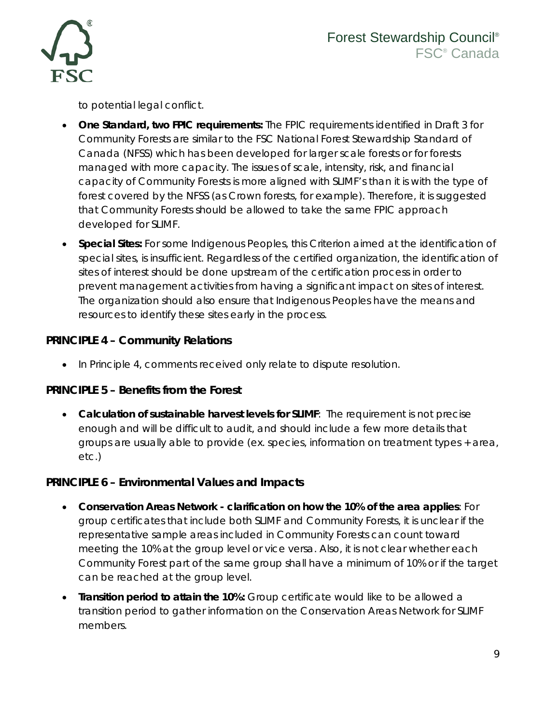

to potential legal conflict.

- **One Standard, two FPIC requirements:** The FPIC requirements identified in Draft 3 for Community Forests are similar to the FSC National Forest Stewardship Standard of Canada (NFSS) which has been developed for larger scale forests or for forests managed with more capacity. The issues of scale, intensity, risk, and financial capacity of Community Forests is more aligned with SLIMF's than it is with the type of forest covered by the NFSS (as Crown forests, for example). Therefore, it is suggested that Community Forests should be allowed to take the same FPIC approach developed for SLIMF.
- **Special Sites:** For some Indigenous Peoples, this Criterion aimed at the identification of special sites, is insufficient. Regardless of the certified organization, the identification of sites of interest should be done upstream of the certification process in order to prevent management activities from having a significant impact on sites of interest. The organization should also ensure that Indigenous Peoples have the means and resources to identify these sites early in the process.

#### **PRINCIPLE 4 – Community Relations**

• In Principle 4, comments received only relate to dispute resolution.

#### **PRINCIPLE 5 – Benefits from the Forest**

• **Calculation of sustainable harvest levels for SLIMF**: The requirement is not precise enough and will be difficult to audit, and should include a few more details that groups are usually able to provide (ex. species, information on treatment types + area, etc.)

#### **PRINCIPLE 6 – Environmental Values and Impacts**

- **Conservation Areas Network - clarification on how the 10% of the area applies**: For group certificates that include both SLIMF and Community Forests, it is unclear if the representative sample areas included in Community Forests can count toward meeting the 10% at the group level or vice versa. Also, it is not clear whether each Community Forest part of the same group shall have a minimum of 10% or if the target can be reached at the group level.
- **Transition period to attain the 10%:** Group certificate would like to be allowed a transition period to gather information on the Conservation Areas Network for SLIMF members.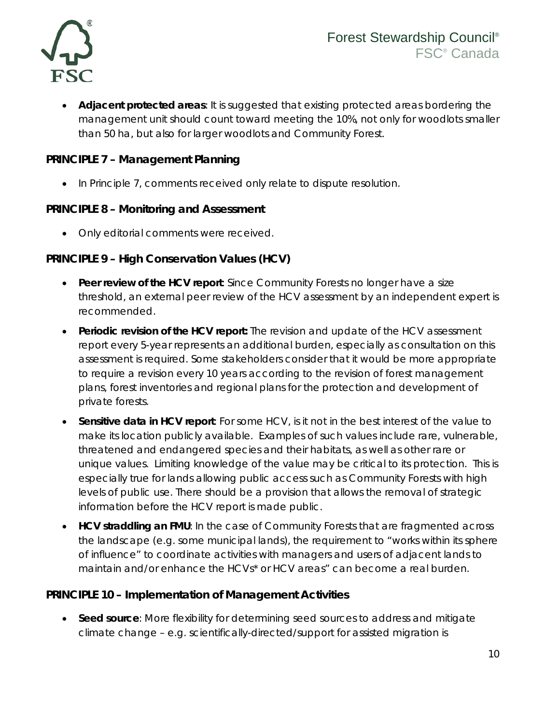

• **Adjacent protected areas**: It is suggested that existing protected areas bordering the management unit should count toward meeting the 10%, not only for woodlots smaller than 50 ha, but also for larger woodlots and Community Forest.

#### **PRINCIPLE 7 – Management Planning**

• In Principle 7, comments received only relate to dispute resolution.

#### **PRINCIPLE 8 – Monitoring and Assessment**

• Only editorial comments were received.

#### **PRINCIPLE 9 – High Conservation Values (HCV)**

- **Peer review of the HCV report**: Since Community Forests no longer have a size threshold, an external peer review of the HCV assessment by an independent expert is recommended.
- **Periodic revision of the HCV report:** The revision and update of the HCV assessment report every 5-year represents an additional burden, especially as consultation on this assessment is required. Some stakeholders consider that it would be more appropriate to require a revision every 10 years according to the revision of forest management plans, forest inventories and regional plans for the protection and development of private forests.
- **Sensitive data in HCV report**: For some HCV, is it not in the best interest of the value to make its location publicly available. Examples of such values include rare, vulnerable, threatened and endangered species and their habitats, as well as other rare or unique values. Limiting knowledge of the value may be critical to its protection. This is especially true for lands allowing public access such as Community Forests with high levels of public use. There should be a provision that allows the removal of strategic information before the HCV report is made public.
- HCV straddling an FMU: In the case of Community Forests that are fragmented across the landscape (e.g. some municipal lands), the requirement to "works within its sphere of influence" to coordinate activities with managers and users of adjacent lands to maintain and/or enhance the HCVs\* or HCV areas" can become a real burden.

#### **PRINCIPLE 10 – Implementation of Management Activities**

• **Seed source**: More flexibility for determining seed sources to address and mitigate climate change – e.g. scientifically-directed/support for assisted migration is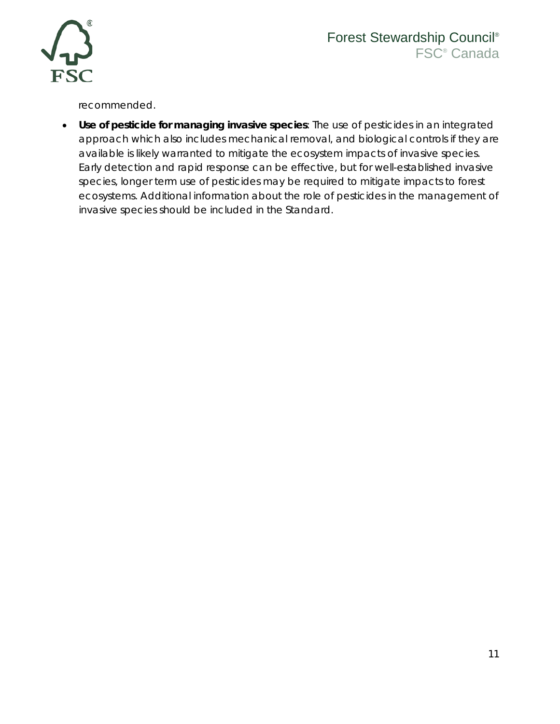

### Forest Stewardship Council® FSC® Canada

recommended.

• **Use of pesticide for managing invasive species**: The use of pesticides in an integrated approach which also includes mechanical removal, and biological controls if they are available is likely warranted to mitigate the ecosystem impacts of invasive species. Early detection and rapid response can be effective, but for well-established invasive species, longer term use of pesticides may be required to mitigate impacts to forest ecosystems. Additional information about the role of pesticides in the management of invasive species should be included in the Standard.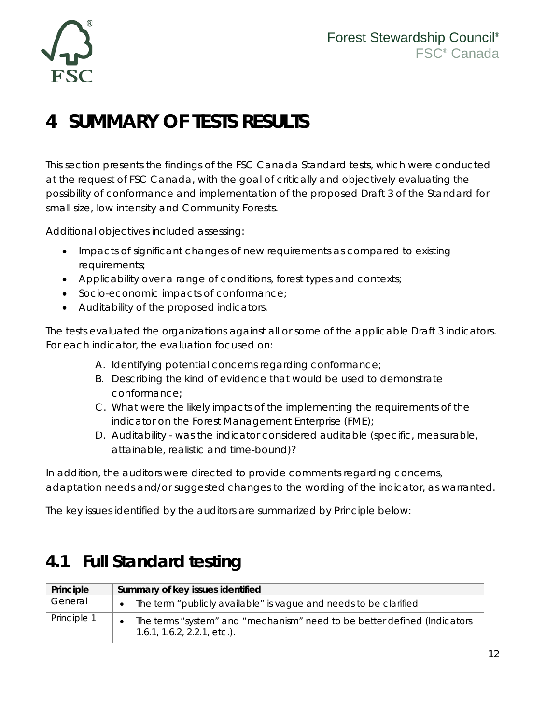

# <span id="page-12-0"></span>**4 SUMMARY OF TESTS RESULTS**

This section presents the findings of the FSC Canada Standard tests, which were conducted at the request of FSC Canada, with the goal of critically and objectively evaluating the possibility of conformance and implementation of the proposed Draft 3 of the Standard for small size, low intensity and Community Forests.

Additional objectives included assessing:

- Impacts of significant changes of new requirements as compared to existing requirements;
- Applicability over a range of conditions, forest types and contexts;
- Socio-economic impacts of conformance;
- Auditability of the proposed indicators.

The tests evaluated the organizations against all or some of the applicable Draft 3 indicators. For each indicator, the evaluation focused on:

- A. Identifying potential concerns regarding conformance;
- B. Describing the kind of evidence that would be used to demonstrate conformance;
- C. What were the likely impacts of the implementing the requirements of the indicator on the Forest Management Enterprise (FME);
- D. Auditability was the indicator considered auditable (specific, measurable, attainable, realistic and time-bound)?

In addition, the auditors were directed to provide comments regarding concerns, adaptation needs and/or suggested changes to the wording of the indicator, as warranted.

The key issues identified by the auditors are summarized by Principle below:

### <span id="page-12-1"></span>**4.1 Full Standard testing**

| Principle   | Summary of key issues identified                                                                           |
|-------------|------------------------------------------------------------------------------------------------------------|
| General     | The term "publicly available" is vague and needs to be clarified.<br>$\bullet$                             |
| Principle 1 | The terms "system" and "mechanism" need to be better defined (Indicators<br>$1.6.1, 1.6.2, 2.2.1, etc.$ ). |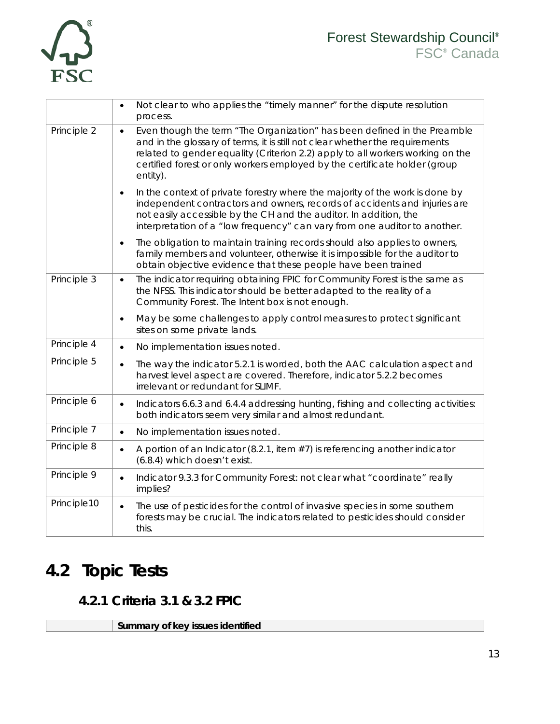

|             | Not clear to who applies the "timely manner" for the dispute resolution<br>$\bullet$<br>process.                                                                                                                                                                                                                                                  |
|-------------|---------------------------------------------------------------------------------------------------------------------------------------------------------------------------------------------------------------------------------------------------------------------------------------------------------------------------------------------------|
| Principle 2 | Even though the term "The Organization" has been defined in the Preamble<br>$\bullet$<br>and in the glossary of terms, it is still not clear whether the requirements<br>related to gender equality (Criterion 2.2) apply to all workers working on the<br>certified forest or only workers employed by the certificate holder (group<br>entity). |
|             | In the context of private forestry where the majority of the work is done by<br>$\bullet$<br>independent contractors and owners, records of accidents and injuries are<br>not easily accessible by the CH and the auditor. In addition, the<br>interpretation of a "low frequency" can vary from one auditor to another.                          |
|             | The obligation to maintain training records should also applies to owners,<br>$\bullet$<br>family members and volunteer, otherwise it is impossible for the auditor to<br>obtain objective evidence that these people have been trained                                                                                                           |
| Principle 3 | The indicator requiring obtaining FPIC for Community Forest is the same as<br>$\bullet$<br>the NFSS. This indicator should be better adapted to the reality of a<br>Community Forest. The Intent box is not enough.                                                                                                                               |
|             | May be some challenges to apply control measures to protect significant<br>$\bullet$<br>sites on some private lands.                                                                                                                                                                                                                              |
| Principle 4 | No implementation issues noted.<br>$\bullet$                                                                                                                                                                                                                                                                                                      |
| Principle 5 | The way the indicator 5.2.1 is worded, both the AAC calculation aspect and<br>$\bullet$<br>harvest level aspect are covered. Therefore, indicator 5.2.2 becomes<br>irrelevant or redundant for SLIMF.                                                                                                                                             |
| Principle 6 | Indicators 6.6.3 and 6.4.4 addressing hunting, fishing and collecting activities:<br>$\bullet$<br>both indicators seem very similar and almost redundant.                                                                                                                                                                                         |
| Principle 7 | No implementation issues noted.<br>$\bullet$                                                                                                                                                                                                                                                                                                      |
| Principle 8 | A portion of an Indicator (8.2.1, item $#7$ ) is referencing another indicator<br>$\bullet$<br>(6.8.4) which doesn't exist.                                                                                                                                                                                                                       |
| Principle 9 | Indicator 9.3.3 for Community Forest: not clear what "coordinate" really<br>$\bullet$<br>implies?                                                                                                                                                                                                                                                 |
| Principle10 | The use of pesticides for the control of invasive species in some southern<br>$\bullet$<br>forests may be crucial. The indicators related to pesticides should consider<br>this.                                                                                                                                                                  |

## <span id="page-13-1"></span><span id="page-13-0"></span>**4.2 Topic Tests**

### **4.2.1 Criteria 3.1 & 3.2 FPIC**

**Summary of key issues identified**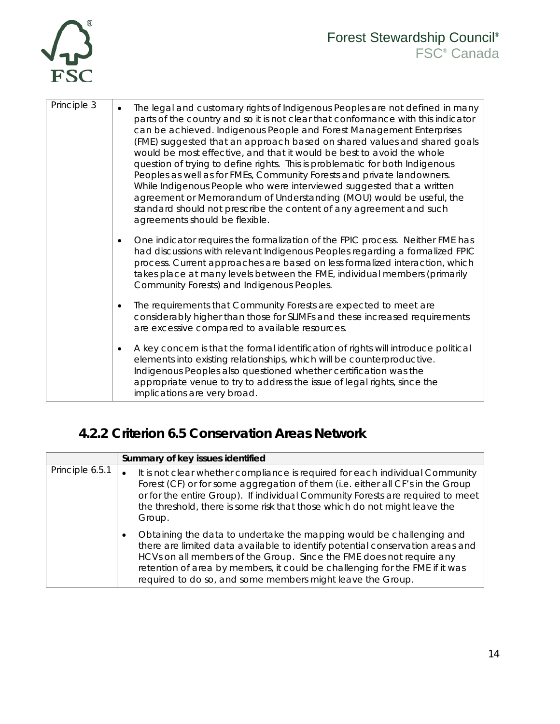

| Principle 3 | The legal and customary rights of Indigenous Peoples are not defined in many<br>$\bullet$<br>parts of the country and so it is not clear that conformance with this indicator<br>can be achieved. Indigenous People and Forest Management Enterprises<br>(FME) suggested that an approach based on shared values and shared goals<br>would be most effective, and that it would be best to avoid the whole<br>question of trying to define rights. This is problematic for both Indigenous<br>Peoples as well as for FMEs, Community Forests and private landowners.<br>While Indigenous People who were interviewed suggested that a written<br>agreement or Memorandum of Understanding (MOU) would be useful, the<br>standard should not prescribe the content of any agreement and such<br>agreements should be flexible. |
|-------------|-------------------------------------------------------------------------------------------------------------------------------------------------------------------------------------------------------------------------------------------------------------------------------------------------------------------------------------------------------------------------------------------------------------------------------------------------------------------------------------------------------------------------------------------------------------------------------------------------------------------------------------------------------------------------------------------------------------------------------------------------------------------------------------------------------------------------------|
|             | One indicator requires the formalization of the FPIC process. Neither FME has<br>$\bullet$<br>had discussions with relevant Indigenous Peoples regarding a formalized FPIC<br>process. Current approaches are based on less formalized interaction, which<br>takes place at many levels between the FME, individual members (primarily<br>Community Forests) and Indigenous Peoples.                                                                                                                                                                                                                                                                                                                                                                                                                                          |
|             | The requirements that Community Forests are expected to meet are<br>$\bullet$<br>considerably higher than those for SLIMFs and these increased requirements<br>are excessive compared to available resources.                                                                                                                                                                                                                                                                                                                                                                                                                                                                                                                                                                                                                 |
|             | A key concern is that the formal identification of rights will introduce political<br>$\bullet$<br>elements into existing relationships, which will be counterproductive.<br>Indigenous Peoples also questioned whether certification was the<br>appropriate venue to try to address the issue of legal rights, since the<br>implications are very broad.                                                                                                                                                                                                                                                                                                                                                                                                                                                                     |

### **4.2.2 Criterion 6.5 Conservation Areas Network**

<span id="page-14-0"></span>

|                 | Summary of key issues identified                                                                                                                                                                                                                                                                                                                                                        |
|-----------------|-----------------------------------------------------------------------------------------------------------------------------------------------------------------------------------------------------------------------------------------------------------------------------------------------------------------------------------------------------------------------------------------|
| Principle 6.5.1 | It is not clear whether compliance is required for each individual Community<br>$\bullet$<br>Forest (CF) or for some aggregation of them (i.e. either all CF's in the Group<br>or for the entire Group). If individual Community Forests are required to meet<br>the threshold, there is some risk that those which do not might leave the<br>Group.                                    |
|                 | Obtaining the data to undertake the mapping would be challenging and<br>$\bullet$<br>there are limited data available to identify potential conservation areas and<br>HCVs on all members of the Group. Since the FME does not require any<br>retention of area by members, it could be challenging for the FME if it was<br>required to do so, and some members might leave the Group. |